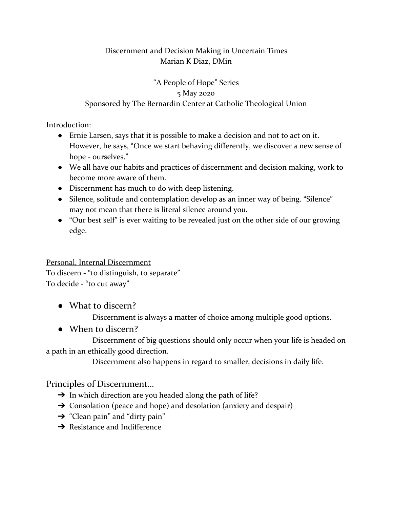#### Discernment and Decision Making in Uncertain Times Marian K Diaz, DMin

# "A People of Hope" Series 5 May 2020 Sponsored by The Bernardin Center at Catholic Theological Union

Introduction:

- Ernie Larsen, says that it is possible to make a decision and not to act on it. However, he says, "Once we start behaving differently, we discover a new sense of hope - ourselves."
- We all have our habits and practices of discernment and decision making, work to become more aware of them.
- Discernment has much to do with deep listening.
- Silence, solitude and contemplation develop as an inner way of being. "Silence" may not mean that there is literal silence around you.
- "Our best self" is ever waiting to be revealed just on the other side of our growing edge.

# Personal, Internal Discernment

To discern - "to distinguish, to separate" To decide - "to cut away"

● What to discern?

Discernment is always a matter of choice among multiple good options.

● When to discern?

Discernment of big questions should only occur when your life is headed on a path in an ethically good direction.

Discernment also happens in regard to smaller, decisions in daily life.

# Principles of Discernment…

- $\rightarrow$  In which direction are you headed along the path of life?
- $\rightarrow$  Consolation (peace and hope) and desolation (anxiety and despair)
- $\rightarrow$  "Clean pain" and "dirty pain"
- $\rightarrow$  Resistance and Indifference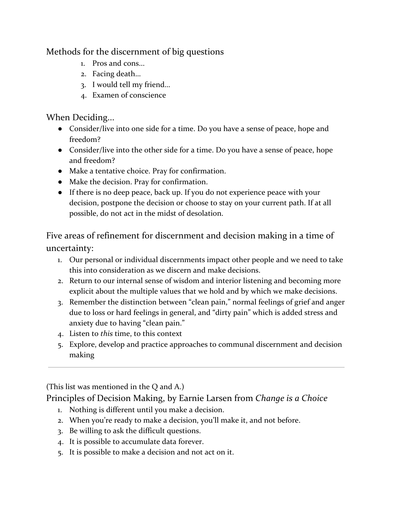Methods for the discernment of big questions

- 1. Pros and cons...
- 2. Facing death…
- 3. I would tell my friend…
- 4. Examen of conscience

When Deciding...

- Consider/live into one side for a time. Do you have a sense of peace, hope and freedom?
- Consider/live into the other side for a time. Do you have a sense of peace, hope and freedom?
- Make a tentative choice. Pray for confirmation.
- Make the decision. Pray for confirmation.
- If there is no deep peace, back up. If you do not experience peace with your decision, postpone the decision or choose to stay on your current path. If at all possible, do not act in the midst of desolation.

Five areas of refinement for discernment and decision making in a time of uncertainty:

- 1. Our personal or individual discernments impact other people and we need to take this into consideration as we discern and make decisions.
- 2. Return to our internal sense of wisdom and interior listening and becoming more explicit about the multiple values that we hold and by which we make decisions.
- 3. Remember the distinction between "clean pain," normal feelings of grief and anger due to loss or hard feelings in general, and "dirty pain" which is added stress and anxiety due to having "clean pain."
- 4. Listen to *this* time, to this context
- 5. Explore, develop and practice approaches to communal discernment and decision making

(This list was mentioned in the Q and A.)

Principles of Decision Making, by Earnie Larsen from *Change is a Choice*

- 1. Nothing is different until you make a decision.
- 2. When you're ready to make a decision, you'll make it, and not before.
- 3. Be willing to ask the difficult questions.
- 4. It is possible to accumulate data forever.
- 5. It is possible to make a decision and not act on it.